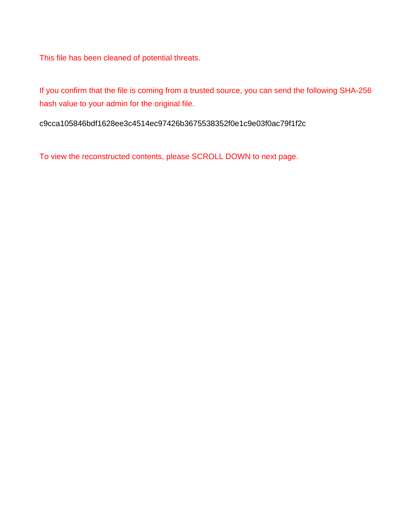This file has been cleaned of potential threats.

If you confirm that the file is coming from a trusted source, you can send the following SHA-256 hash value to your admin for the original file.

c9cca105846bdf1628ee3c4514ec97426b3675538352f0e1c9e03f0ac79f1f2c

To view the reconstructed contents, please SCROLL DOWN to next page.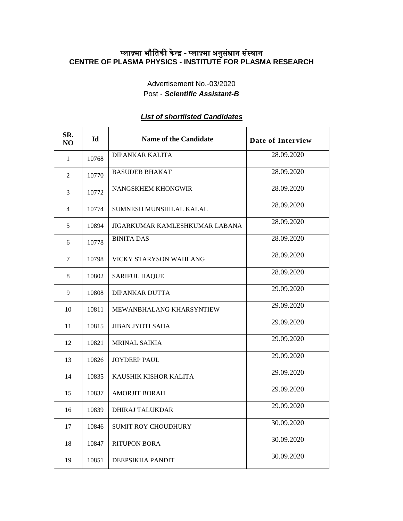## प्लाज़्मा भौतिकी केन्द्र - प्लाज़्मा अनुसंधान संस्थान **CENTRE OF PLASMA PHYSICS - INSTITUTE FOR PLASMA RESEARCH**

Advertisement No.-03/2020 Post - *Scientific Assistant-B*

## *List of shortlisted Candidates*

| SR.<br>N <sub>O</sub> | $Id$  | <b>Name of the Candidate</b>    | Date of Interview |
|-----------------------|-------|---------------------------------|-------------------|
| 1                     | 10768 | <b>DIPANKAR KALITA</b>          | 28.09.2020        |
| 2                     | 10770 | <b>BASUDEB BHAKAT</b>           | 28.09.2020        |
| 3                     | 10772 | NANGSKHEM KHONGWIR              | 28.09.2020        |
| 4                     | 10774 | SUMNESH MUNSHILAL KALAL         | 28.09.2020        |
| 5                     | 10894 | JIGARKUMAR KAMLESHKUMAR LABANA  | 28.09.2020        |
| 6                     | 10778 | <b>BINITA DAS</b>               | 28.09.2020        |
| 7                     | 10798 | VICKY STARYSON WAHLANG          | 28.09.2020        |
| 8                     | 10802 | <b>SARIFUL HAQUE</b>            | 28.09.2020        |
| 9                     | 10808 | <b>DIPANKAR DUTTA</b>           | 29.09.2020        |
| 10                    | 10811 | <b>MEWANBHALANG KHARSYNTIEW</b> | 29.09.2020        |
| 11                    | 10815 | <b>JIBAN JYOTI SAHA</b>         | 29.09.2020        |
| 12                    | 10821 | <b>MRINAL SAIKIA</b>            | 29.09.2020        |
| 13                    | 10826 | <b>JOYDEEP PAUL</b>             | 29.09.2020        |
| 14                    | 10835 | KAUSHIK KISHOR KALITA           | 29.09.2020        |
| 15                    | 10837 | <b>AMORJIT BORAH</b>            | 29.09.2020        |
| 16                    | 10839 | <b>DHIRAJ TALUKDAR</b>          | 29.09.2020        |
| 17                    | 10846 | <b>SUMIT ROY CHOUDHURY</b>      | 30.09.2020        |
| 18                    | 10847 | <b>RITUPON BORA</b>             | 30.09.2020        |
| 19                    | 10851 | DEEPSIKHA PANDIT                | 30.09.2020        |